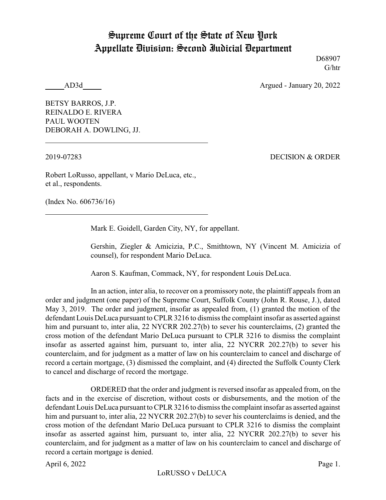## Supreme Court of the State of New York Appellate Division: Second Judicial Department

D68907 G/htr

AD3d Argued - January 20, 2022

BETSY BARROS, J.P. REINALDO E. RIVERA PAUL WOOTEN DEBORAH A. DOWLING, JJ.

2019-07283 DECISION & ORDER

Robert LoRusso, appellant, v Mario DeLuca, etc., et al., respondents.

(Index No. 606736/16)

Mark E. Goidell, Garden City, NY, for appellant.

Gershin, Ziegler & Amicizia, P.C., Smithtown, NY (Vincent M. Amicizia of counsel), for respondent Mario DeLuca.

Aaron S. Kaufman, Commack, NY, for respondent Louis DeLuca.

In an action, inter alia, to recover on a promissory note, the plaintiff appeals from an order and judgment (one paper) of the Supreme Court, Suffolk County (John R. Rouse, J.), dated May 3, 2019. The order and judgment, insofar as appealed from, (1) granted the motion of the defendant Louis DeLuca pursuant to CPLR 3216 to dismiss the complaint insofar as asserted against him and pursuant to, inter alia, 22 NYCRR 202.27(b) to sever his counterclaims, (2) granted the cross motion of the defendant Mario DeLuca pursuant to CPLR 3216 to dismiss the complaint insofar as asserted against him, pursuant to, inter alia, 22 NYCRR 202.27(b) to sever his counterclaim, and for judgment as a matter of law on his counterclaim to cancel and discharge of record a certain mortgage, (3) dismissed the complaint, and (4) directed the Suffolk County Clerk to cancel and discharge of record the mortgage.

ORDERED that the order and judgment is reversed insofar as appealed from, on the facts and in the exercise of discretion, without costs or disbursements, and the motion of the defendant Louis DeLuca pursuant to CPLR 3216 to dismiss the complaint insofar as asserted against him and pursuant to, inter alia, 22 NYCRR 202.27(b) to sever his counterclaims is denied, and the cross motion of the defendant Mario DeLuca pursuant to CPLR 3216 to dismiss the complaint insofar as asserted against him, pursuant to, inter alia, 22 NYCRR 202.27(b) to sever his counterclaim, and for judgment as a matter of law on his counterclaim to cancel and discharge of record a certain mortgage is denied.

April 6, 2022 Page 1.